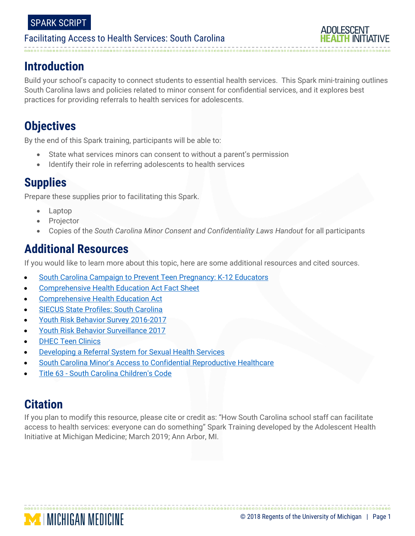## **Introduction**

Build your school's capacity to connect students to essential health services. This Spark mini-training outlines South Carolina laws and policies related to minor consent for confidential services, and it explores best practices for providing referrals to health services for adolescents.

# **Objectives**

By the end of this Spark training, participants will be able to:

- State what services minors can consent to without a parent's permission
- Identify their role in referring adolescents to health services

## **Supplies**

Prepare these supplies prior to facilitating this Spark.

- Laptop
- Projector
- Copies of the *South Carolina Minor Consent and Confidentiality Laws Handout* for all participants

### **Additional Resources**

If you would like to learn more about this topic, here are some additional resources and cited sources.

- [South Carolina Campaign to Prevent Teen Pregnancy: K-12 Educators](https://www.teenpregnancysc.org/learning-center/k-12-educators)
- [Comprehensive Health Education Act Fact Sheet](https://www.teenpregnancysc.org/sites/default/files/chea2016finalweb.pdf)
- [Comprehensive Health Education Act](https://www.scstatehouse.gov/code/t59c032.php)
- [SIECUS State Profiles: South Carolina](https://siecus.org/wp-content/uploads/2018/07/SOUTHCAROLINA-FY16.pdf)
- [Youth Risk Behavior Survey 2016-2017](https://www.cdc.gov/healthyyouth/data/yrbs/pdf/trendsreport.pdf)
- [Youth Risk Behavior Surveillance 2017](https://www.cdc.gov/mmwr/volumes/67/ss/ss6708a1.htm?s_cid=ss6708a1_w)
- **[DHEC Teen Clinics](https://www.scdhec.gov/health/child-teen-health/teens-info-services/point-teen-clinics)**

**MINICHIGAN MEDICINE** 

- [Developing a Referral System for Sexual Health Services](http://www.ncsddc.org/wp-content/uploads/2017/08/Referral-System-Implementation-Kit-10-17-16.pdf)
- [South Carolina Minor's Access to Confidential Reproductive Healthcare](https://www.teenpregnancysc.org/sites/default/files/Minors%20Rights%207-29-2013.pdf)
- Title 63 [South Carolina Children's Code](https://www.scstatehouse.gov/code/t63c005.php)

# **Citation**

If you plan to modify this resource, please cite or credit as: "How South Carolina school staff can facilitate access to health services: everyone can do something" Spark Training developed by the Adolescent Health Initiative at Michigan Medicine; March 2019; Ann Arbor, MI.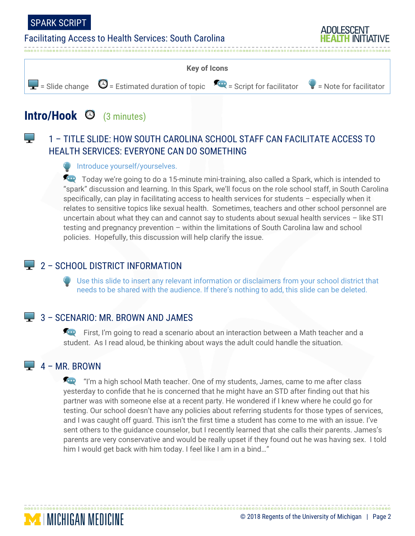البراء

#### Facilitating Access to Health Services: South Carolina



# **Intro/Hook** (3 minutes)

### 1 – TITLE SLIDE: HOW SOUTH CAROLINA SCHOOL STAFF CAN FACILITATE ACCESS TO HEALTH SERVICES: EVERYONE CAN DO SOMETHING

#### **Introduce yourself/yourselves.**

Today we're going to do a 15-minute mini-training, also called a Spark, which is intended to "spark" discussion and learning. In this Spark, we'll focus on the role school staff, in South Carolina specifically, can play in facilitating access to health services for students – especially when it relates to sensitive topics like sexual health. Sometimes, teachers and other school personnel are uncertain about what they can and cannot say to students about sexual health services - like STI testing and pregnancy prevention – within the limitations of South Carolina law and school policies. Hopefully, this discussion will help clarify the issue.

#### $\Box$  2 – SCHOOL DISTRICT INFORMATION

Use this slide to insert any relevant information or disclaimers from your school district that needs to be shared with the audience. If there's nothing to add, this slide can be deleted.

#### 3 – SCENARIO: MR. BROWN AND JAMES

First, I'm going to read a scenario about an interaction between a Math teacher and a student. As I read aloud, be thinking about ways the adult could handle the situation.

### $\Box$  4 – MR. BROWN

**MINICHIGAN MEDICINE** 

**The "I'm a high school Math teacher. One of my students, James, came to me after class** yesterday to confide that he is concerned that he might have an STD after finding out that his partner was with someone else at a recent party. He wondered if I knew where he could go for testing. Our school doesn't have any policies about referring students for those types of services, and I was caught off guard. This isn't the first time a student has come to me with an issue. I've sent others to the guidance counselor, but I recently learned that she calls their parents. James's parents are very conservative and would be really upset if they found out he was having sex. I told him I would get back with him today. I feel like I am in a bind…"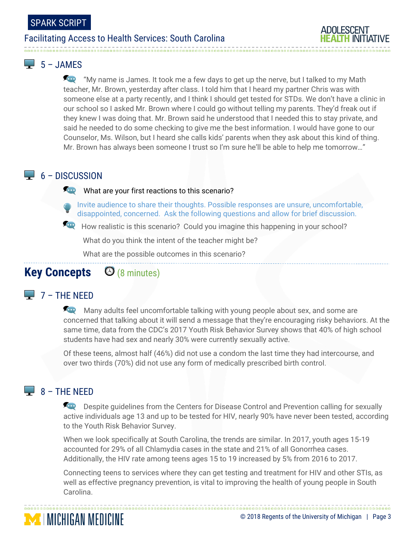

#### $-5 - JAMFS$

**For** "My name is James. It took me a few days to get up the nerve, but I talked to my Math teacher, Mr. Brown, yesterday after class. I told him that I heard my partner Chris was with someone else at a party recently, and I think I should get tested for STDs. We don't have a clinic in our school so I asked Mr. Brown where I could go without telling my parents. They'd freak out if they knew I was doing that. Mr. Brown said he understood that I needed this to stay private, and said he needed to do some checking to give me the best information. I would have gone to our Counselor, Ms. Wilson, but I heard she calls kids' parents when they ask about this kind of thing. Mr. Brown has always been someone I trust so I'm sure he'll be able to help me tomorrow…"

#### $\Box$  6 – DISCUSSION

#### What are your first reactions to this scenario?

Invite audience to share their thoughts. Possible responses are unsure, uncomfortable, disappointed, concerned. Ask the following questions and allow for brief discussion.

How realistic is this scenario? Could you imagine this happening in your school?

What do you think the intent of the teacher might be?

What are the possible outcomes in this scenario?

### **Key Concepts** (8 minutes)

### $\Box$  7 – THE NEED

Many adults feel uncomfortable talking with young people about sex, and some are concerned that talking about it will send a message that they're encouraging risky behaviors. At the same time, data from the CDC's 2017 Youth Risk Behavior Survey shows that 40% of high school students have had sex and nearly 30% were currently sexually active.

Of these teens, almost half (46%) did not use a condom the last time they had intercourse, and over two thirds (70%) did not use any form of medically prescribed birth control.

### $\Box$  8 – THE NEED

**MINICHIGAN MEDICINE** 

**Despite guidelines from the Centers for Disease Control and Prevention calling for sexually** active individuals age 13 and up to be tested for HIV, nearly 90% have never been tested, according to the Youth Risk Behavior Survey.

When we look specifically at South Carolina, the trends are similar. In 2017, youth ages 15-19 accounted for 29% of all Chlamydia cases in the state and 21% of all Gonorrhea cases. Additionally, the HIV rate among teens ages 15 to 19 increased by 5% from 2016 to 2017.

Connecting teens to services where they can get testing and treatment for HIV and other STIs, as well as effective pregnancy prevention, is vital to improving the health of young people in South Carolina.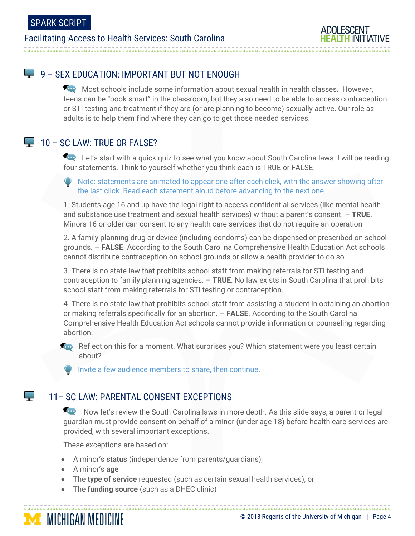

#### 9 – SEX EDUCATION: IMPORTANT BUT NOT ENOUGH

Most schools include some information about sexual health in health classes. However, teens can be "book smart" in the classroom, but they also need to be able to access contraception or STI testing and treatment if they are (or are planning to become) sexually active. Our role as adults is to help them find where they can go to get those needed services.

#### $\Box$  10 – SC LAW: TRUE OR FALSE?

Let's start with a quick quiz to see what you know about South Carolina laws. I will be reading four statements. Think to yourself whether you think each is TRUE or FALSE.

Note: statements are animated to appear one after each click, with the answer showing after the last click. Read each statement aloud before advancing to the next one.

1. Students age 16 and up have the legal right to access confidential services (like mental health and substance use treatment and sexual health services) without a parent's consent. – **TRUE**. Minors 16 or older can consent to any health care services that do not require an operation

2. A family planning drug or device (including condoms) can be dispensed or prescribed on school grounds. – **FALSE**. According to the South Carolina Comprehensive Health Education Act schools cannot distribute contraception on school grounds or allow a health provider to do so.

3. There is no state law that prohibits school staff from making referrals for STI testing and contraception to family planning agencies. – **TRUE**. No law exists in South Carolina that prohibits school staff from making referrals for STI testing or contraception.

4. There is no state law that prohibits school staff from assisting a student in obtaining an abortion or making referrals specifically for an abortion. – **FALSE**. According to the South Carolina Comprehensive Health Education Act schools cannot provide information or counseling regarding abortion.

**Rep** Reflect on this for a moment. What surprises you? Which statement were you least certain about?

Invite a few audience members to share, then continue.

#### 11– SC LAW: PARENTAL CONSENT EXCEPTIONS

Now let's review the South Carolina laws in more depth. As this slide says, a parent or legal guardian must provide consent on behalf of a minor (under age 18) before health care services are provided, with several important exceptions.

These exceptions are based on:

- A minor's **status** (independence from parents/guardians),
- A minor's **age**
- The **type of service** requested (such as certain sexual health services), or
- The **funding source** (such as a DHEC clinic)



البراء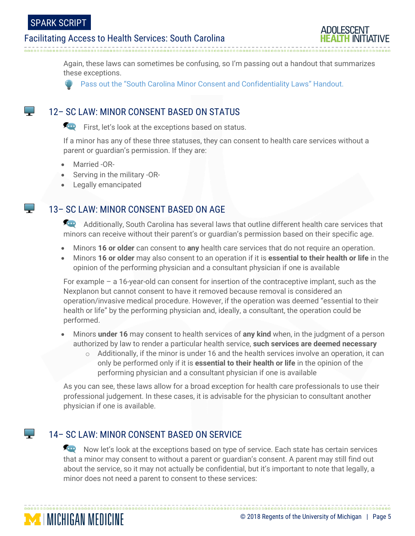**Contract** 

البراء

**Contract** 

**MICHIGAN MEDICINE** 

#### Facilitating Access to Health Services: South Carolina



Again, these laws can sometimes be confusing, so I'm passing out a handout that summarizes these exceptions.

Pass out the "South Carolina Minor Consent and Confidentiality Laws" Handout.

#### 12– SC LAW: MINOR CONSENT BASED ON STATUS

First, let's look at the exceptions based on status.

If a minor has any of these three statuses, they can consent to health care services without a parent or guardian's permission. If they are:

- Married -OR-
- Serving in the military -OR-
- Legally emancipated

#### 13– SC LAW: MINOR CONSENT BASED ON AGE

Additionally, South Carolina has several laws that outline different health care services that minors can receive without their parent's or guardian's permission based on their specific age.

- Minors **16 or older** can consent to **any** health care services that do not require an operation.
- Minors **16 or older** may also consent to an operation if it is **essential to their health or life** in the opinion of the performing physician and a consultant physician if one is available

For example – a 16-year-old can consent for insertion of the contraceptive implant, such as the Nexplanon but cannot consent to have it removed because removal is considered an operation/invasive medical procedure. However, if the operation was deemed "essential to their health or life" by the performing physician and, ideally, a consultant, the operation could be performed.

- Minors **under 16** may consent to health services of **any kind** when, in the judgment of a person authorized by law to render a particular health service, **such services are deemed necessary**
	- $\circ$  Additionally, if the minor is under 16 and the health services involve an operation, it can only be performed only if it is **essential to their health or life** in the opinion of the performing physician and a consultant physician if one is available

As you can see, these laws allow for a broad exception for health care professionals to use their professional judgement. In these cases, it is advisable for the physician to consultant another physician if one is available.

#### 14– SC LAW: MINOR CONSENT BASED ON SERVICE

Now let's look at the exceptions based on type of service. Each state has certain services that a minor may consent to without a parent or guardian's consent. A parent may still find out about the service, so it may not actually be confidential, but it's important to note that legally, a minor does not need a parent to consent to these services: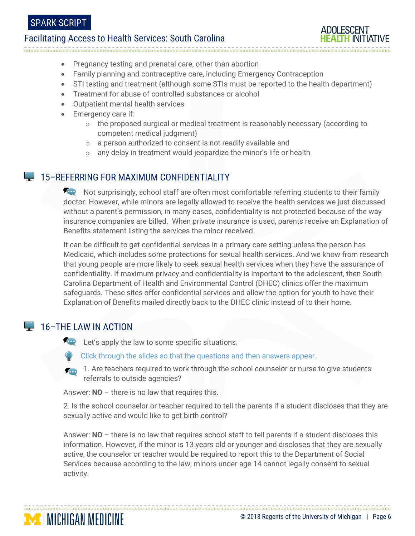

- Pregnancy testing and prenatal care, other than abortion
- Family planning and contraceptive care, including Emergency Contraception
- STI testing and treatment (although some STIs must be reported to the health department)
- Treatment for abuse of controlled substances or alcohol
- Outpatient mental health services
- Emergency care if:
	- o the proposed surgical or medical treatment is reasonably necessary (according to competent medical judgment)
	- o a person authorized to consent is not readily available and
	- o any delay in treatment would jeopardize the minor's life or health

#### **15-REFERRING FOR MAXIMUM CONFIDENTIALITY**

And Not surprisingly, school staff are often most comfortable referring students to their family doctor. However, while minors are legally allowed to receive the health services we just discussed without a parent's permission, in many cases, confidentiality is not protected because of the way insurance companies are billed. When private insurance is used, parents receive an Explanation of Benefits statement listing the services the minor received.

It can be difficult to get confidential services in a primary care setting unless the person has Medicaid, which includes some protections for sexual health services. And we know from research that young people are more likely to seek sexual health services when they have the assurance of confidentiality. If maximum privacy and confidentiality is important to the adolescent, then South Carolina Department of Health and Environmental Control (DHEC) clinics offer the maximum safeguards. These sites offer confidential services and allow the option for youth to have their Explanation of Benefits mailed directly back to the DHEC clinic instead of to their home.

### **16-THE LAW IN ACTION**

**MICHIGAN MEDICINE** 

**Let's apply the law to some specific situations.** 

- Click through the slides so that the questions and then answers appear.
- 1. Are teachers required to work through the school counselor or nurse to give students referrals to outside agencies?

Answer: **NO** – there is no law that requires this.

2. Is the school counselor or teacher required to tell the parents if a student discloses that they are sexually active and would like to get birth control?

Answer: **NO** – there is no law that requires school staff to tell parents if a student discloses this information. However, if the minor is 13 years old or younger and discloses that they are sexually active, the counselor or teacher would be required to report this to the Department of Social Services because according to the law, minors under age 14 cannot legally consent to sexual activity.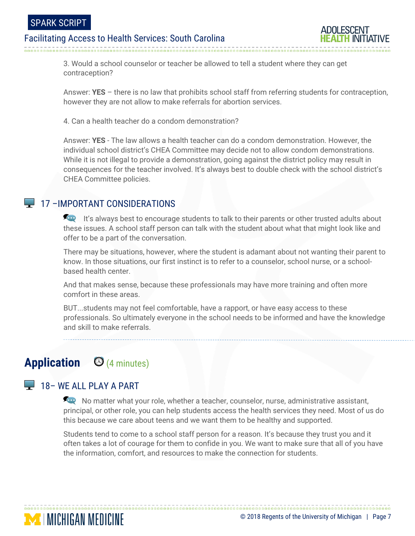

3. Would a school counselor or teacher be allowed to tell a student where they can get contraception?

Answer: **YES** – there is no law that prohibits school staff from referring students for contraception, however they are not allow to make referrals for abortion services.

4. Can a health teacher do a condom demonstration?

Answer: **YES** - The law allows a health teacher can do a condom demonstration. However, the individual school district's CHEA Committee may decide not to allow condom demonstrations. While it is not illegal to provide a demonstration, going against the district policy may result in consequences for the teacher involved. It's always best to double check with the school district's CHEA Committee policies.

#### **17 – IMPORTANT CONSIDERATIONS**

It's always best to encourage students to talk to their parents or other trusted adults about these issues. A school staff person can talk with the student about what that might look like and offer to be a part of the conversation.

There may be situations, however, where the student is adamant about not wanting their parent to know. In those situations, our first instinct is to refer to a counselor, school nurse, or a schoolbased health center.

And that makes sense, because these professionals may have more training and often more comfort in these areas.

BUT...students may not feel comfortable, have a rapport, or have easy access to these professionals. So ultimately everyone in the school needs to be informed and have the knowledge and skill to make referrals.

# **Application** (4 minutes)

#### **18 – WE ALL PLAY A PART**

**MINICHIGAN MEDICINE** 

No matter what your role, whether a teacher, counselor, nurse, administrative assistant, principal, or other role, you can help students access the health services they need. Most of us do this because we care about teens and we want them to be healthy and supported.

Students tend to come to a school staff person for a reason. It's because they trust you and it often takes a lot of courage for them to confide in you. We want to make sure that all of you have the information, comfort, and resources to make the connection for students.